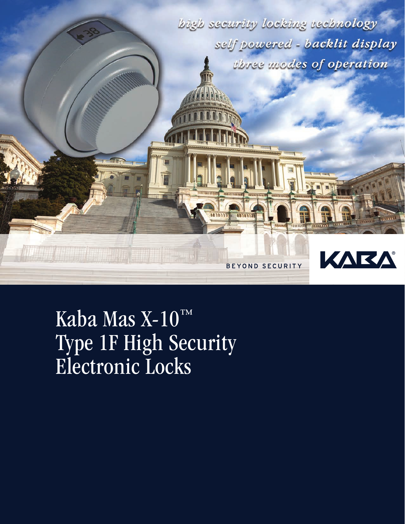

Kaba Mas X-10™ Type 1F High Security Electronic Locks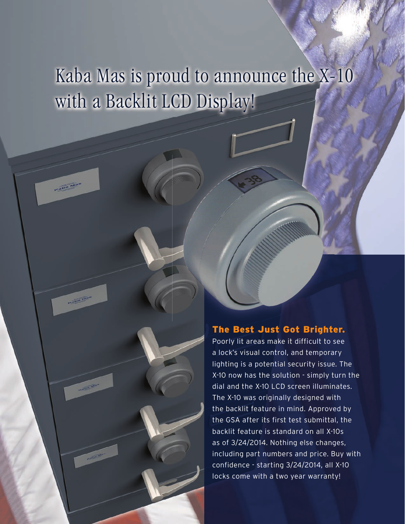# Kaba Mas is proud to announce the X-10 with a Backlit LCD Display!

Kapa Ma

**Allen Ave** 

### The Best Just Got Brighter.

Poorly lit areas make it difficult to see a lock's visual control, and temporary lighting is a potential security issue. The X-10 now has the solution - simply turn the dial and the X-10 LCD screen illuminates. The X-10 was originally designed with the backlit feature in mind. Approved by the GSA after its first test submittal, the backlit feature is standard on all X-10s as of 3/24/2014. Nothing else changes, including part numbers and price. Buy with confidence - starting 3/24/2014, all X-10 locks come with a two year warranty!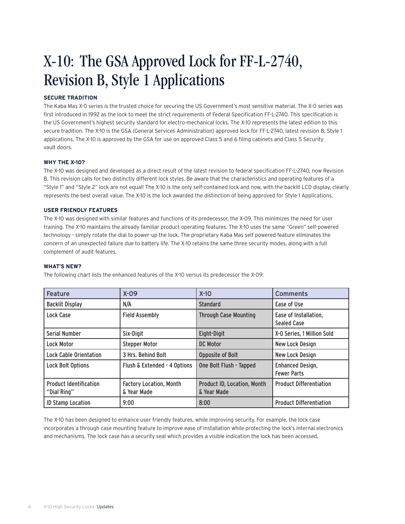## X-10: The GSA Approved Lock for FF-L-2740, Revision B, Style 1 Applications

#### **SECURE TRADITION**

The Kaba Mas X-0 series is the trusted choice for securing the US Government's most sensitive material. The X-0 series was first introduced in 1992 as the lock to meet the strict requirements of Federal Specification FF-L-2740. This specification is the US Government's highest security standard for electro-mechanical locks. The X-10 represents the latest edition to this secure tradition. The X-10 is the GSA (General Services Administration) approved lock for FF-L-2740, latest revision B, Style 1 applications. The X-10 is approved by the GSA for use on approved Class 5 and 6 filing cabinets and Class 5 Security vault doors.

#### **WHY THE X-10?**

The X-10 was designed and developed as a direct result of the latest revision to federal specification FF-L-2740, now Revision B. This revision calls for two distinctly different lock styles. Be aware that the characteristics and operating features of a "Style 1" and "Style 2" lock are not equal! The X-10 is the only self-contained lock and now, with the backlit LCD display, clearly represents the best overall value. The X-10 is the lock awarded the distinction of being approved for Style 1 Applications.

#### **USER FRIENDLY FEATURES**

The X-10 was designed with similar features and functions of its predecessor, the X-09. This minimizes the need for user training. The X-10 maintains the already familiar product operating features. The X-10 uses the same "Green" self-powered technology - simply rotate the dial to power-up the lock. The proprietary Kaba Mas self powered feature eliminates the concern of an unexpected failure due to battery life. The X-10 retains the same three security modes, along with a full complement of audit features.

#### **WHAT'S NEW?**

The following chart lists the enhanced features of the X-10 versus its predecessor the X-09:

| Feature                                      | $X-09$                                        | $X-10$                                     | Comments                                      |
|----------------------------------------------|-----------------------------------------------|--------------------------------------------|-----------------------------------------------|
| <b>Backlit Display</b>                       | N/A                                           | <b>Standard</b>                            | Ease of Use                                   |
| Lock Case                                    | <b>Field Assembly</b>                         | <b>Through Case Mounting</b>               | Ease of Installation,<br><b>Sealed Case</b>   |
| Serial Number                                | Six-Digit                                     | Eight-Digit                                | X-O Series, 1 Million Sold                    |
| Lock Motor                                   | <b>Stepper Motor</b>                          | DC Motor                                   | <b>New Lock Design</b>                        |
| <b>Lock Cable Orientation</b>                | 3 Hrs. Behind Bolt                            | Opposite of Bolt                           | New Lock Design                               |
| <b>Lock Bolt Options</b>                     | Flush & Extended - 4 Options                  | One Bolt Flush - Tapped                    | <b>Enhanced Design,</b><br><b>Fewer Parts</b> |
| <b>Product Identification</b><br>"Dial Ring" | <b>Factory Location, Month</b><br>& Year Made | Product ID, Location, Month<br>& Year Made | <b>Product Differentiation</b>                |
| <b>ID Stamp Location</b>                     | 9:00                                          | 8:00                                       | <b>Product Differentiation</b>                |

The X-10 has been designed to enhance user friendly features, while improving security. For example, the lock case incorporates a through case mounting feature to improve ease of installation while protecting the lock's internal electronics and mechanisms. The lock case has a security seal which provides a visible indication the lock has been accessed.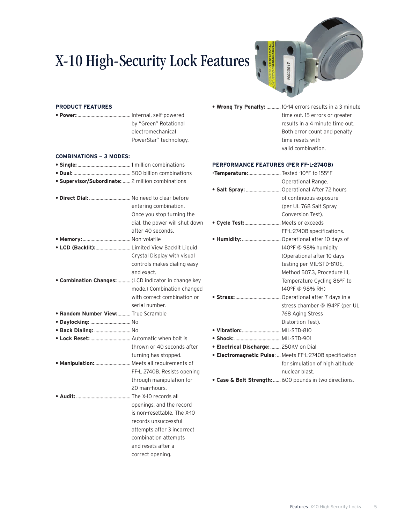## X-10 High-Security Lock Features



#### **PRODUCT FEATURES**

| by "Green" Rotational  |
|------------------------|
| electromechanical      |
| PowerStar™ technology. |

#### **COMBINATIONS — 3 MODES:**

| · Supervisor/Subordinate:  2 million combinations        |                                |
|----------------------------------------------------------|--------------------------------|
|                                                          |                                |
| . Direct Dial:  No need to clear before                  |                                |
|                                                          | entering combination.          |
|                                                          | Once you stop turning the      |
|                                                          | dial, the power will shut down |
|                                                          | after 40 seconds.              |
|                                                          |                                |
| • LCD (Backlit): Limited View Backlit Liquid             |                                |
|                                                          | Crystal Display with visual    |
|                                                          | controls makes dialing easy    |
|                                                          | and exact.                     |
| <b>Combination Changes:</b> (LCD indicator in change key |                                |
|                                                          | mode.) Combination changed     |
|                                                          | with correct combination or    |
|                                                          | serial number.                 |
| <b>• Random Number View:</b> True Scramble               |                                |
| • Daylocking:  No                                        |                                |
| · Back Dialing:  No                                      |                                |
| • Lock Reset:  Automatic when bolt is                    |                                |
|                                                          | thrown or 40 seconds after     |
|                                                          | turning has stopped.           |
| . Manipulation: Meets all requirements of                |                                |
|                                                          | FF-L 2740B. Resists opening    |
|                                                          | through manipulation for       |
|                                                          | 20 man-hours.                  |
|                                                          |                                |
|                                                          | openings, and the record       |
|                                                          | is non-resettable. The X-10    |
|                                                          | records unsuccessful           |
|                                                          | attempts after 3 incorrect     |
|                                                          | combination attempts           |
|                                                          | and resets after a             |
|                                                          | correct opening.               |

- 
- **Wrong Try Penalty:** ........... 10-14 errors results in a 3 minute time out. 15 errors or greater results in a 4 minute time out. Both error count and penalty time resets with valid combination.

#### **PERFORMANCE FEATURES (PER FF-L-2740B)**

| .Temperature: Tested -10°F to 155°F    |                                                              |
|----------------------------------------|--------------------------------------------------------------|
|                                        | Operational Range.                                           |
|                                        | · Salt Spray:  Operational After 72 hours                    |
|                                        | of continuous exposure                                       |
|                                        | (per UL 768 Salt Spray                                       |
|                                        | Conversion Test).                                            |
| . Cycle Test: Meets or exceeds         |                                                              |
|                                        | FF-L-2740B specifications.                                   |
|                                        | • Humidity: Operational after 10 days of                     |
|                                        | 140°F @ 98% humidity                                         |
|                                        | (Operational after 10 days                                   |
|                                        | testing per MIL-STD-810E,                                    |
|                                        | Method 507.3, Procedure III,                                 |
|                                        | Temperature Cycling 86°F to                                  |
|                                        | 140°F @ 98% RH)                                              |
|                                        |                                                              |
|                                        | stress chamber @ 194°F (per UL                               |
|                                        | 768 Aging Stress                                             |
|                                        | Distortion Test).                                            |
| . Vibration:  MIL-STD-810              |                                                              |
|                                        |                                                              |
| • Electrical Discharge:  250KV on Dial |                                                              |
|                                        | <b>Electromagnetic Pulse:</b> Meets FF-L-2740B specification |
|                                        | for simulation of high altitude                              |
|                                        | nuclear blast.                                               |
| ia e Mall elusaniki (                  | $(0.00 \times 10^{-10})$ in turn disastianal                 |

**• Case & Bolt Strength:**...... 600 pounds in two directions.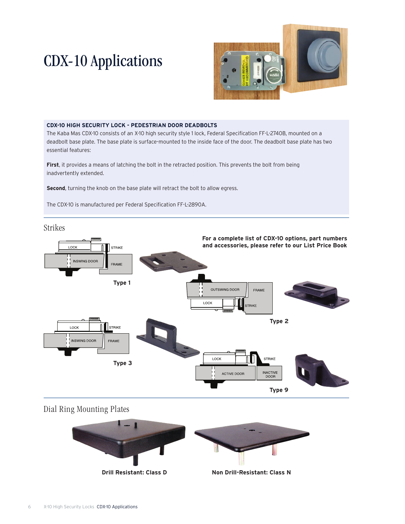## CDX-10 Applications



#### **CDX-10 HIGH SECURITY LOCK - PEDESTRIAN DOOR DEADBOLTS**

The Kaba Mas CDX-10 consists of an X-10 high security style 1 lock, Federal Specification FF-L-2740B, mounted on a deadbolt base plate. The base plate is surface-mounted to the inside face of the door. The deadbolt base plate has two essential features:

**First**, it provides a means of latching the bolt in the retracted position. This prevents the bolt from being inadvertently extended.

**Second**, turning the knob on the base plate will retract the bolt to allow egress.

The CDX-10 is manufactured per Federal Specification FF-L-2890A.

Strikes



### Dial Ring Mounting Plates